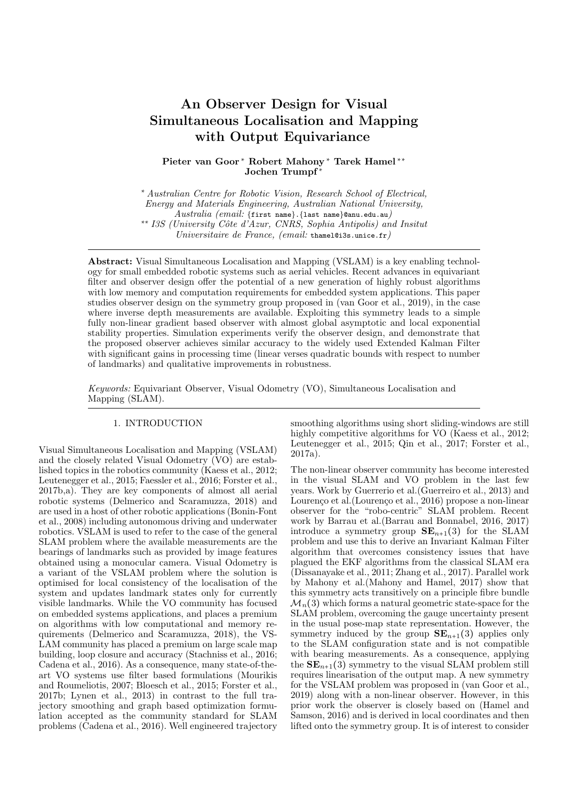# An Observer Design for Visual **Simultaneous Localisation and Mapping** with Output Equivariance

Pieter van Goor\* Robert Mahony\* Tarek Hamel\*\* Jochen Trumpf<sup>\*</sup>

\* Australian Centre for Robotic Vision, Research School of Electrical, Energy and Materials Engineering, Australian National University,  $Australia$  (email: {first name}. {last name}@anu.edu.au) \*\* I3S (University Côte d'Azur, CNRS, Sophia Antipolis) and Insitut Universitaire de France, (email: thamel@i3s.unice.fr)

**Abstract:** Visual Simultaneous Localisation and Mapping (VSLAM) is a key enabling technology for small embedded robotic systems such as aerial vehicles. Recent advances in equivariant filter and observer design offer the potential of a new generation of highly robust algorithms with low memory and computation requirements for embedded system applications. This paper studies observer design on the symmetry group proposed in (van Goor et al., 2019), in the case where inverse depth measurements are available. Exploiting this symmetry leads to a simple fully non-linear gradient based observer with almost global asymptotic and local exponential stability properties. Simulation experiments verify the observer design, and demonstrate that the proposed observer achieves similar accuracy to the widely used Extended Kalman Filter with significant gains in processing time (linear verses quadratic bounds with respect to number of landmarks) and qualitative improvements in robustness.

Keywords: Equivariant Observer, Visual Odometry (VO), Simultaneous Localisation and Mapping (SLAM).

# 1. INTRODUCTION

Visual Simultaneous Localisation and Mapping (VSLAM) and the closely related Visual Odometry (VO) are established topics in the robotics community (Kaess et al., 2012; Leutenegger et al., 2015; Faessler et al., 2016; Forster et al., 2017b,a). They are key components of almost all aerial robotic systems (Delmerico and Scaramuzza, 2018) and are used in a host of other robotic applications (Bonin-Font et al., 2008) including autonomous driving and underwater robotics. VSLAM is used to refer to the case of the general SLAM problem where the available measurements are the bearings of landmarks such as provided by image features obtained using a monocular camera. Visual Odometry is a variant of the VSLAM problem where the solution is optimised for local consistency of the localisation of the system and updates landmark states only for currently visible landmarks. While the VO community has focused on embedded systems applications, and places a premium on algorithms with low computational and memory requirements (Delmerico and Scaramuzza, 2018), the VS-LAM community has placed a premium on large scale map building, loop closure and accuracy (Stachniss et al., 2016; Cadena et al., 2016). As a consequence, many state-of-theart VO systems use filter based formulations (Mourikis and Roumeliotis, 2007; Bloesch et al., 2015; Forster et al.,  $2017b$ ; Lynen et al.,  $2013$ ) in contrast to the full trajectory smoothing and graph based optimization formulation accepted as the community standard for SLAM problems (Cadena et al., 2016). Well engineered trajectory

smoothing algorithms using short sliding-windows are still highly competitive algorithms for VO (Kaess et al., 2012; Leutenegger et al., 2015; Qin et al., 2017; Forster et al.,  $2017a$ ).

The non-linear observer community has become interested in the visual SLAM and VO problem in the last few years. Work by Guerrerio et al. (Guerreiro et al., 2013) and Lourenço et al.<br>(Lourenço et al., 2016) propose a non-linear observer for the "robo-centric" SLAM problem. Recent work by Barrau et al. (Barrau and Bonnabel, 2016, 2017) introduce a symmetry group  $SE_{n+1}(3)$  for the SLAM problem and use this to derive an Invariant Kalman Filter algorithm that overcomes consistency issues that have plagued the EKF algorithms from the classical SLAM era (Dissanayake et al., 2011; Zhang et al., 2017). Parallel work by Mahony et al. (Mahony and Hamel, 2017) show that this symmetry acts transitively on a principle fibre bundle  $\mathcal{M}_n(3)$  which forms a natural geometric state-space for the SLAM problem, overcoming the gauge uncertainty present in the usual pose-map state representation. However, the symmetry induced by the group  $SE_{n+1}(3)$  applies only to the SLAM configuration state and is not compatible with bearing measurements. As a consequence, applying the  $SE_{n+1}(3)$  symmetry to the visual SLAM problem still requires linearisation of the output map. A new symmetry for the VSLAM problem was proposed in (van Goor et al., 2019) along with a non-linear observer. However, in this prior work the observer is closely based on (Hamel and Samson, 2016) and is derived in local coordinates and then lifted onto the symmetry group. It is of interest to consider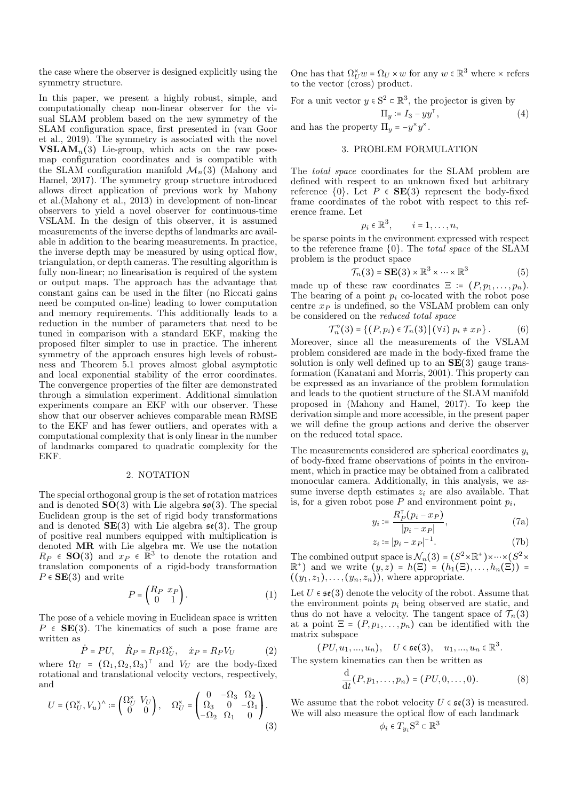the case where the observer is designed explicitly using the symmetry structure.

In this paper, we present a highly robust, simple, and computationally cheap non-linear observer for the visual SLAM problem based on the new symmetry of the SLAM configuration space, first presented in (van Goor et al., 2019). The symmetry is associated with the novel **VSLAM**<sub>n</sub>(3) Lie-group, which acts on the raw posemap configuration coordinates and is compatible with the SLAM configuration manifold  $\mathcal{M}_n(3)$  (Mahony and Hamel, 2017). The symmetry group structure introduced allows direct application of previous work by Mahony et al. (Mahony et al., 2013) in development of non-linear observers to yield a novel observer for continuous-time VSLAM. In the design of this observer, it is assumed measurements of the inverse depths of landmarks are available in addition to the bearing measurements. In practice, the inverse depth may be measured by using optical flow, triangulation, or depth cameras. The resulting algorithm is fully non-linear; no linearisation is required of the system or output maps. The approach has the advantage that constant gains can be used in the filter (no Riccati gains need be computed on-line) leading to lower computation and memory requirements. This additionally leads to a reduction in the number of parameters that need to be tuned in comparison with a standard EKF, making the proposed filter simpler to use in practice. The inherent symmetry of the approach ensures high levels of robustness and Theorem 5.1 proves almost global asymptotic and local exponential stability of the error coordinates. The convergence properties of the filter are demonstrated through a simulation experiment. Additional simulation experiments compare an EKF with our observer. These show that our observer achieves comparable mean RMSE to the EKF and has fewer outliers, and operates with a computational complexity that is only linear in the number of landmarks compared to quadratic complexity for the EKF.

#### 2. NOTATION

The special orthogonal group is the set of rotation matrices and is denoted  $SO(3)$  with Lie algebra  $\mathfrak{so}(3)$ . The special Euclidean group is the set of rigid body transformations and is denoted  $SE(3)$  with Lie algebra  $\mathfrak{se}(3)$ . The group of positive real numbers equipped with multiplication is denoted MR with Lie algebra mr. We use the notation  $R_P \in SO(3)$  and  $x_P \in \mathbb{R}^3$  to denote the rotation and translation components of a rigid-body transformation  $P \in \mathbf{SE}(3)$  and write

$$
P = \begin{pmatrix} R_P & x_P \\ 0 & 1 \end{pmatrix} . \tag{1}
$$

The pose of a vehicle moving in Euclidean space is written  $P \in SE(3)$ . The kinematics of such a pose frame are written as

$$
P = PU, \quad R_P = R_P \Omega_U^{\times}, \quad \dot{x}_P = R_P V_U \tag{2}
$$

where  $\Omega_U = (\Omega_1, \Omega_2, \Omega_3)^T$  and  $V_U$  are the body-fixed rotational and translational velocity vectors, respectively, and  $\overline{a}$   $\overline{a}$   $\overline{a}$   $\overline{a}$ 

$$
U = (\Omega_U^{\times}, V_u)^{\wedge} := \begin{pmatrix} \Omega_U^{\times} & V_U \\ 0 & 0 \end{pmatrix}, \quad \Omega_U^{\times} = \begin{pmatrix} 0 & -\Omega_3 & \Omega_2 \\ \Omega_3 & 0 & -\Omega_1 \\ -\Omega_2 & \Omega_1 & 0 \end{pmatrix}.
$$
\n(3)

One has that  $\Omega_{U}^{\times} w = \Omega_{U} \times w$  for any  $w \in \mathbb{R}^{3}$  where  $\times$  refers to the vector (cross) product.

For a unit vector  $y \in S^2 \subset \mathbb{R}^3$ , the projector is given by

$$
\Pi_y \coloneqq I_3 - \imath
$$

and has the property  $\Pi_y = -y^*y^*$ .

#### 3. PROBLEM FORMULATION

The *total space* coordinates for the SLAM problem are defined with respect to an unknown fixed but arbitrary reference  $\{0\}$ . Let  $P \in \mathbf{SE}(3)$  represent the body-fixed frame coordinates of the robot with respect to this reference frame. Let

$$
p_i \in \mathbb{R}^3, \qquad i = 1, \ldots, n,
$$

be sparse points in the environment expressed with respect to the reference frame  $\{0\}$ . The *total space* of the SLAM problem is the product space

$$
\mathcal{T}_n(3) = \mathbf{SE}(3) \times \mathbb{R}^3 \times \dots \times \mathbb{R}^3 \tag{5}
$$

 $(4)$ 

made up of these raw coordinates  $\Xi := (P, p_1, \ldots, p_n)$ . The bearing of a point  $p_i$  co-located with the robot pose centre  $x_P$  is undefined, so the VSLAM problem can only be considered on the reduced total space

$$
\mathcal{T}_n^{\circ}(3) = \left\{ (P, p_i) \in \mathcal{T}_n(3) \, | \, (\forall i) \ p_i \neq x_P \right\}. \tag{6}
$$

Moreover, since all the measurements of the VSLAM problem considered are made in the body-fixed frame the solution is only well defined up to an  $SE(3)$  gauge transformation (Kanatani and Morris, 2001). This property can be expressed as an invariance of the problem formulation and leads to the quotient structure of the SLAM manifold proposed in (Mahony and Hamel, 2017). To keep the derivation simple and more accessible, in the present paper we will define the group actions and derive the observer on the reduced total space.

The measurements considered are spherical coordinates  $y_i$ of body-fixed frame observations of points in the environment, which in practice may be obtained from a calibrated monocular camera. Additionally, in this analysis, we assume inverse depth estimates  $z_i$  are also available. That is, for a given robot pose  $P$  and environment point  $p_i$ ,

$$
y_i \coloneqq \frac{R_P^{\mathsf{T}}(p_i - x_P)}{|p_i - x_P|},\tag{7a}
$$

$$
z_i \coloneqq |p_i - x_P|^{-1}.\tag{7b}
$$

The combined output space is  $\mathcal{N}_n(3) = (S^2 \times \mathbb{R}^+) \times \cdots \times (S^2 \times$  $\mathbb{R}^+$ ) and we write  $(y, z) = h(\Xi) = (h_1(\Xi), \ldots, h_n(\Xi)) =$  $((y_1, z_1), \ldots, (y_n, z_n))$ , where appropriate.

Let  $U \in \mathfrak{se}(3)$  denote the velocity of the robot. Assume that the environment points  $p_i$  being observed are static, and thus do not have a velocity. The tangent space of  $\mathcal{T}_n(3)$ at a point  $\Xi = (P, p_1, \ldots, p_n)$  can be identified with the matrix subspace

$$
(PU, u_1, ..., u_n), \quad U \in \mathfrak{se}(3), \quad u_1, ..., u_n \in \mathbb{R}^3.
$$

The system kinematics can then be written as

$$
\frac{d}{dt}(P, p_1, \dots, p_n) = (PU, 0, \dots, 0).
$$
 (8)

We assume that the robot velocity  $U \in \mathfrak{se}(3)$  is measured. We will also measure the optical flow of each landmark

$$
\phi_i \in T_{y_i} S^2 \subset \mathbb{R}^3
$$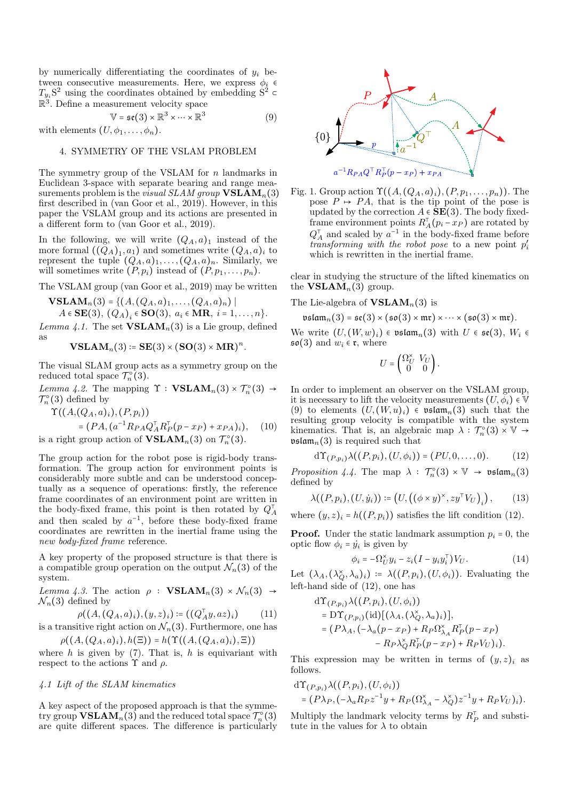by numerically differentiating the coordinates of  $y_i$  between consecutive measurements. Here, we express  $\phi_i$   $\epsilon$  $T_{y_i}S^2$  using the coordinates obtained by embedding  $S^2$  $\mathbb{R}^3$ . Define a measurement velocity space

$$
\mathbb{V} = \mathfrak{se}(3) \times \mathbb{R}^3 \times \dots \times \mathbb{R}^3 \tag{9}
$$

with elements  $(U, \phi_1, \ldots, \phi_n)$ .

# 4. SYMMETRY OF THE VSLAM PROBLEM

The symmetry group of the VSLAM for  $n$  landmarks in Euclidean 3-space with separate bearing and range measurements problem is the *visual SLAM group*  $VSLAM_n(3)$ first described in (van Goor et al., 2019). However, in this paper the VSLAM group and its actions are presented in a different form to (van Goor et al., 2019).

In the following, we will write  $(Q_A, a)_1$  instead of the more formal  $((\tilde{Q}_A)_1, a_1)$  and sometimes write  $(Q_A, a)_i$  to<br>represent the tuple  $(Q_A, a)_1, \ldots, (Q_A, a)_n$ . Similarly, we will sometimes write  $(P, p_i)$  instead of  $(P, p_1, \ldots, p_n)$ .

The VSLAM group (van Goor et al., 2019) may be written

**VSLAM**<sub>n</sub>(3) = { $(A, (Q_A, a)_1, ..., (Q_A, a)_n)$  |

$$
A \in \mathbf{SE}(3), (Q_A)_i \in \mathbf{SO}(3), a_i \in \mathbf{MR}, i = 1, \ldots, n\}.
$$

Lemma 4.1. The set  $VSLAM_n(3)$  is a Lie group, defined as

$$
\mathbf{VSLAM}_n(3) \coloneqq \mathbf{SE}(3) \times (\mathbf{SO}(3) \times \mathbf{MR})^n
$$

The visual SLAM group acts as a symmetry group on the reduced total space  $\mathcal{T}_n^{\circ}(3)$ .

Lemma 4.2. The mapping  $\Upsilon : \textbf{VSLAM}_n(3) \times T_n^{\circ}(3) \rightarrow$  $\mathcal{T}_n^{\circ}(3)$  defined by

$$
\Upsilon((A,(Q_A,a)_i),(P,p_i))
$$

$$
= (PA, (a^{-1}R_{PA}Q_A^{\mathsf{T}}R_P^{\mathsf{T}}(p-x_P) + x_{PA})_i), \quad (10)
$$
  
is a right group action of **VSLAM**<sub>n</sub>(3) on  $\mathcal{T}_n^{\circ}(3)$ .

The group action for the robot pose is rigid-body transformation. The group action for environment points is considerably more subtle and can be understood conceptually as a sequence of operations: firstly, the reference frame coordinates of an environment point are written in the body-fixed frame, this point is then rotated by  $Q_A^{\dagger}$ and then scaled by  $a^{-1}$ , before these body-fixed frame coordinates are rewritten in the inertial frame using the new body-fixed frame reference.

A key property of the proposed structure is that there is a compatible group operation on the output  $\mathcal{N}_n(3)$  of the system.

Lemma 4.3. The action  $\rho$  : **VSLAM**<sub>n</sub>(3) ×  $\mathcal{N}_n(3) \rightarrow$  $\mathcal{N}_n(3)$  defined by

$$
\rho((A, (Q_A, a)_i), (y, z)_i) \coloneqq ((Q_A^{\top} y, az)_i) \tag{11}
$$

is a transitive right action on  $\mathcal{N}_n(3)$ . Furthermore, one has  $\rho((A, (Q_A, a)_i), h(\Xi)) = h(\Upsilon((A, (Q_A, a)_i), \Xi))$ 

where  $h$  is given by (7). That is,  $h$  is equivariant with respect to the actions  $\Upsilon$  and  $\rho$ .

#### 4.1 Lift of the SLAM kinematics

A key aspect of the proposed approach is that the symmetry group  $\text{VSLAM}_n(3)$  and the reduced total space  $\mathcal{T}_n^{\circ}(3)$ are quite different spaces. The difference is particularly



Fig. 1. Group action  $\Upsilon((A, (Q_A, a)_i), (P, p_1, \ldots, p_n))$ . The pose  $P \rightarrow PA$ , that is the tip point of the pose is updated by the correction  $A \in \mathbf{SE}(3)$ . The body fixedframe environment points  $R_A^{\mathsf{T}}(p_i - x_P)$  are rotated by  $Q_A^{\dagger}$  and scaled by  $a^{-1}$  in the body-fixed frame before<br>transforming with the robot pose to a new point  $p'_i$ which is rewritten in the inertial frame.

clear in studying the structure of the lifted kinematics on the **VSLAM**<sub>n</sub> $(3)$  group.

The Lie-algebra of  $VSLAM_n(3)$  is

$$
\mathfrak{vslam}_n(3) = \mathfrak{se}(3) \times (\mathfrak{so}(3) \times \mathfrak{mr}) \times \cdots \times (\mathfrak{so}(3) \times \mathfrak{mr}).
$$

We write  $(U, (W, w)_i) \in \mathfrak{vslam}_n(3)$  with  $U \in \mathfrak{se}(3)$ ,  $W_i \in$  $\mathfrak{so}(3)$  and  $w_i \in \mathfrak{r}$ , where

$$
U = \begin{pmatrix} \Omega_U^{\times} & V_U \\ 0 & 0 \end{pmatrix}.
$$

In order to implement an observer on the VSLAM group, it is necessary to lift the velocity measurements  $(U, \phi_i) \in \mathbb{V}$ (9) to elements  $(U,(W,u)_i) \in \mathfrak{vslam}_n(3)$  such that the resulting group velocity is compatible with the system kinematics. That is, an algebraic map  $\lambda : \mathcal{T}_n^{\circ}(3) \times \mathbb{V} \rightarrow$  $\mathfrak{vslam}_n(3)$  is required such that

$$
d\Upsilon_{(P,p_i)}\lambda((P,p_i),(U,\phi_i))=(PU,0,\ldots,0). \hspace{1cm} (12)
$$

*Proposition 4.4.* The map  $\lambda$  :  $\mathcal{T}_n^{\circ}(3) \times \mathbb{V} \rightarrow \mathfrak{vslam}_n(3)$ defined by

$$
\lambda((P, p_i), (U, \dot{y}_i)) \coloneqq \left(U, \left(\left(\phi \times y\right)^{\times}, z y^{\top} V_U\right)_i\right),\tag{13}
$$

where  $(y, z)_i = h((P, p_i))$  satisfies the lift condition (12).

**Proof.** Under the static landmark assumption  $p_i = 0$ , the optic flow  $\phi_i = \dot{y}_i$  is given by

$$
\phi_i = -\Omega_U^{\times} y_i - z_i (I - y_i y_i^{\top}) V_U. \tag{14}
$$

Let  $(\lambda_A, (\lambda_Q^*, \lambda_a)_i) := \lambda((P, p_i), (U, \phi_i))$ . Evaluating the left-hand side of  $(12)$ , one has

$$
d\Upsilon_{(P,p_i)}\lambda((P,p_i),(U,\phi_i))
$$
  
=  $D\Upsilon_{(P,p_i)}(id)[(\lambda_A,(\lambda_Q^{\times},\lambda_a)_i)],$   
=  $(P\lambda_A,(-\lambda_a(p-x_P)+R_P\Omega_{\lambda_A}^{\times}R_P^{\top}(p-x_P))$   
-  $R_P\lambda_O^{\times}R_P^{\top}(p-x_P)+R_PV_U)_i)$ 

This expression may be written in terms of  $(y, z)_i$  as follows.

$$
\begin{aligned} &\mathrm{d}\Upsilon_{(P,p_i)}\lambda\big((P,p_i),(U,\phi_i)\big)\\ &=\big(P\lambda_P,\big(-\lambda_aR_Pz^{-1}y+R_P\big(\Omega_{\lambda_A}^\times-\lambda_Q^\times\big)z^{-1}y+R_PV_U\big)_i\big). \end{aligned}
$$

Multiply the landmark velocity terms by  $R_P^{\dagger}$  and substitute in the values for  $\lambda$  to obtain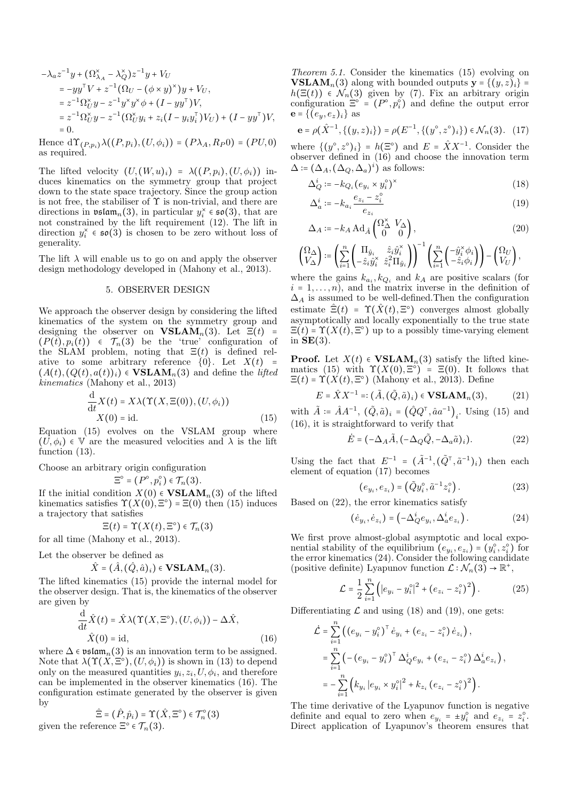$$
-\lambda_{a}z^{-1}y + (\Omega_{\lambda_{A}}^{\times} - \lambda_{Q}^{\times})z^{-1}y + V_{U}
$$
  
\n
$$
= -yy^{\top}V + z^{-1}(\Omega_{U} - (\phi \times y)^{\times})y + V_{U},
$$
  
\n
$$
= z^{-1}\Omega_{U}^{\times}y - z^{-1}y^{\times}y^{\times}\phi + (I - yy^{\top})V,
$$
  
\n
$$
= z^{-1}\Omega_{U}^{\times}y - z^{-1}(\Omega_{U}^{\times}y_{i} + z_{i}(I - y_{i}y_{i}^{\top})V_{U}) + (I - yy^{\top})V,
$$
  
\n
$$
= 0.
$$

Hence  $d\Upsilon_{(P,p_i)}\lambda((P,p_i),(U,\phi_i)) = (P\lambda_A,R_P0) = (PU,0)$ as required.

The lifted velocity  $(U,(W,u)_i) = \lambda((P,p_i),(U,\phi_i))$  induces kinematics on the symmetry group that project down to the state space trajectory. Since the group action is not free, the stabiliser of  $\Upsilon$  is non-trivial, and there are directions in  $\mathfrak{v}$ stam<sub>n</sub>(3), in particular  $y_i^* \in \mathfrak{so}(3)$ , that are not constrained by the lift requirement  $(12)$ . The lift in direction  $y_i^* \in \mathfrak{so}(3)$  is chosen to be zero without loss of generality.

The lift  $\lambda$  will enable us to go on and apply the observer design methodology developed in (Mahony et al., 2013).

### 5. OBSERVER DESIGN

We approach the observer design by considering the lifted kinematics of the system on the symmetry group and designing the observer on **VSLAM**<sub>n</sub>(3). Let  $\Xi(t)$  =  $(P(t), p_i(t)) \in \mathcal{T}_n(3)$  be the 'true' configuration of the SLAM problem, noting that  $\Xi(t)$  is defined relative to some arbitrary reference  $\{0\}$ . Let  $X(t)$  =  $(A(t), (Q(t), a(t))_i) \in \mathbf{VSLAM}_n(3)$  and define the *lifted* kinematics (Mahony et al., 2013)

$$
\frac{d}{dt}X(t) = X\lambda(\Upsilon(X, \Xi(0)), (U, \phi_i))
$$
  
 
$$
X(0) = id.
$$
 (15)

Equation (15) evolves on the VSLAM group where  $(\overline{U}, \phi_i) \in V$  are the measured velocities and  $\lambda$  is the lift function  $(13)$ .

Choose an arbitrary origin configuration

 $\Xi^{\circ} = (P^{\circ}, p_i^{\circ}) \in \mathcal{T}_n(3).$ 

If the initial condition  $X(0) \in \mathbf{VSLAM}_n(3)$  of the lifted kinematics satisfies  $\Upsilon(X(0), \Xi^{\circ}) = \Xi(0)$  then (15) induces a trajectory that satisfies

$$
\Xi(t)=\Upsilon(X(t),\Xi^\circ)\in\mathcal{T}_n(3)
$$

for all time (Mahony et al., 2013).

Let the observer be defined as

$$
\hat{X} = (\hat{A}, (\hat{Q}, \hat{a})_i) \in \mathbf{VSLAM}_n(3).
$$

The lifted kinematics (15) provide the internal model for the observer design. That is, the kinematics of the observer are given by

$$
\frac{\mathrm{d}}{\mathrm{d}t}\hat{X}(t) = \hat{X}\lambda(\Upsilon(X,\Xi^{\circ}), (U,\phi_i)) - \Delta\hat{X},
$$
  

$$
\hat{X}(0) = \mathrm{id},
$$
 (16)

where  $\Delta \in \mathfrak{vslam}_n(3)$  is an innovation term to be assigned. Note that  $\lambda(\Upsilon(X,\Xi^{\circ}), (U,\phi_i))$  is shown in (13) to depend only on the measured quantities  $y_i, z_i, U, \phi_i$ , and therefore can be implemented in the observer kinematics (16). The configuration estimate generated by the observer is given by

$$
\hat{\Xi} = (\hat{P}, \hat{p}_i) = \Upsilon(\hat{X}, \Xi^{\circ}) \in \mathcal{T}_n^{\circ}(3)
$$
  
given the reference  $\Xi^{\circ} \in \mathcal{T}_n(3)$ .

*Theorem 5.1.* Consider the kinematics  $(15)$  evolving on **VSLAM**<sub>n</sub>(3) along with bounded outputs  $y = \{(y, z)_i\}$  $h(\Xi(t)) \in \mathcal{N}_n(3)$  given by (7). Fix an arbitrary origin<br>configuration  $\Xi^{\circ} = (P^{\circ}, p_i^{\circ})$  and define the output error  $e = \{(e_u, e_z)_i\}$  as

$$
\mathbf{e} = \rho(\hat{X}^{-1}, \{(y, z)_i\}) = \rho(E^{-1}, \{(y^\circ, z^\circ)_i\}) \in \mathcal{N}_n(3). \quad (17)
$$

where  $\{(y^{\circ}, z^{\circ})_i\} = h(\Xi^{\circ})$  and  $E = \hat{X}X^{-1}$ . Consider the observer defined in  $(16)$  and choose the innovation term  $\Delta \coloneqq (\Delta_A, (\Delta_Q, \Delta_a)^i)$  as follows:

$$
\Delta_Q^i := -k_{Q_i} (e_{y_i} \times y_i^{\circ})^{\times}
$$
\n(18)

$$
\Delta_a^i \coloneqq -k_{a_i} \frac{e_{z_i} - z_i^{\circ}}{e_{z_i}} \tag{19}
$$

$$
\Delta_A \coloneqq -k_A \operatorname{Ad}_{\hat{A}} \begin{pmatrix} \Omega^{\times}_{\Delta} & V_{\Delta} \\ 0 & 0 \end{pmatrix},\tag{20}
$$

$$
\begin{pmatrix} \Omega_{\Delta} \\ V_{\Delta} \end{pmatrix} := \left( \sum_{i=1}^{n} \begin{pmatrix} \Pi_{\hat{y}_i} & \hat{z}_i \hat{y}_i^{\times} \\ -\hat{z}_i \hat{y}_i^{\times} & \hat{z}_i^2 \Pi_{\hat{y}_i} \end{pmatrix} \right)^{-1} \left( \sum_{i=1}^{n} \begin{pmatrix} -\hat{y}_i^{\times} \phi_i \\ -\hat{z}_i \phi_i \end{pmatrix} \right) - \begin{pmatrix} \Omega_U \\ V_U \end{pmatrix},
$$

where the gains  $k_{a_i}, k_{Q_i}$  and  $k_A$  are positive scalars (for  $i = 1, \ldots, n$ , and the matrix inverse in the definition of  $\Delta_A$  is assumed to be well-defined. Then the configuration estimate  $\hat{\Xi}(t) = \Upsilon(\hat{X}(t), \Xi^{\circ})$  converges almost globally asymptotically and locally exponentially to the true state  $\Xi(t)$  =  $\Upsilon(X(t), \Xi^{\circ})$  up to a possibly time-varying element in  $SE(3)$ .

**Proof.** Let  $X(t) \in \text{VSLAM}_n(3)$  satisfy the lifted kinematics (15) with  $\Upsilon(X(0), \Xi^{\circ}) = \Xi(0)$ . It follows that  $\Xi(t)$  =  $\Upsilon(X(t), \Xi^{\circ})$  (Mahony et al., 2013). Define

$$
E = \hat{X}X^{-1} =: (\tilde{A}, (\tilde{Q}, \tilde{a})_i) \in \mathbf{VSLAM}_n(3), \tag{21}
$$

with  $\tilde{A} = \hat{A}A^{-1}$ ,  $(\tilde{Q}, \tilde{a})_i = (\hat{Q}Q^{\dagger}, \hat{a}a^{-1})_i$ . Using (15) and  $(16)$ , it is straightforward to verify that

$$
\dot{E} = (-\Delta_A \tilde{A}, (-\Delta_Q \tilde{Q}, -\Delta_a \tilde{a})_i). \tag{22}
$$

Using the fact that  $E^{-1} = (\tilde{A}^{-1}, (\tilde{Q}^{\dagger}, \tilde{a}^{-1})_i)$  then each element of equation (17) becomes

$$
(e_{y_i}, e_{z_i}) = (\tilde{Q}y_i^{\circ}, \tilde{a}^{-1}z_i^{\circ}). \tag{23}
$$

Based on  $(22)$ , the error kinematics satisfy

$$
(\dot{e}_{y_i}, \dot{e}_{z_i}) = \left(-\Delta_Q^i e_{y_i}, \Delta_a^i e_{z_i}\right). \tag{24}
$$

We first prove almost-global asymptotic and local exponential stability of the equilibrium  $(e_{y_i}, e_{z_i}) = (y_i^{\circ}, z_i^{\circ})$  for the error kinematics  $(24)$ . Consider the following candidate (positive definite) Lyapunov function  $\mathcal{L} : \mathcal{N}_n(3) \to \mathbb{R}^+,$ 

$$
\mathcal{L} = \frac{1}{2} \sum_{i=1}^{n} \left( |e_{y_i} - y_i^{\circ}|^2 + (e_{z_i} - z_i^{\circ})^2 \right).
$$
 (25)

Differentiating  $\mathcal L$  and using (18) and (19), one gets:

$$
\dot{\mathcal{L}} = \sum_{i=1}^{n} \left( (e_{y_i} - y_i^{\circ})^{\top} \dot{e}_{y_i} + (e_{z_i} - z_i^{\circ}) \dot{e}_{z_i} \right),
$$
  
\n
$$
= \sum_{i=1}^{n} \left( -(e_{y_i} - y_i^{\circ})^{\top} \Delta_Q^i e_{y_i} + (e_{z_i} - z_i^{\circ}) \Delta_a^i e_{z_i} \right),
$$
  
\n
$$
= -\sum_{i=1}^{n} \left( k_{y_i} |e_{y_i} \times y_i^{\circ}|^2 + k_{z_i} (e_{z_i} - z_i^{\circ})^2 \right).
$$

The time derivative of the Lyapunov function is negative definite and equal to zero when  $e_{y_i} = \pm y_i^{\circ}$  and  $e_{z_i} = z_i^{\circ}$ . Direct application of Lyapunov's theorem ensures that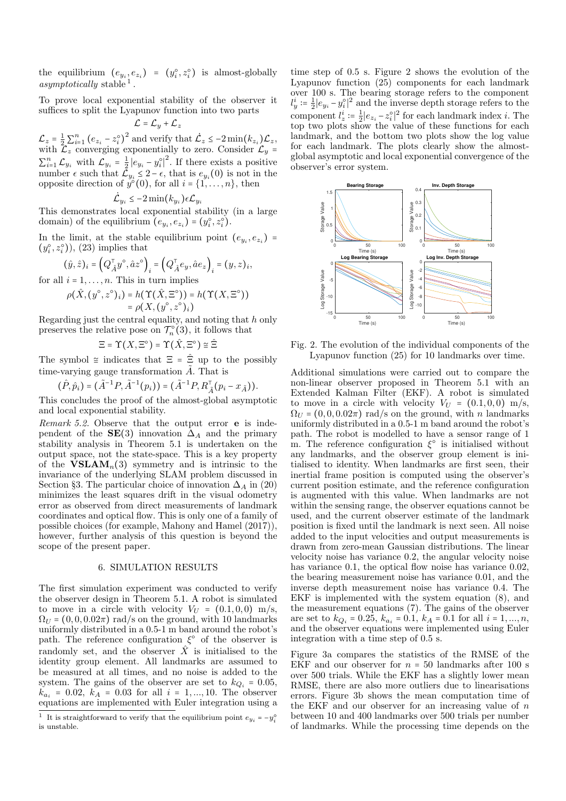the equilibrium  $(e_{y_i}, e_{z_i}) = (y_i^{\circ}, z_i^{\circ})$  is almost-globally *asymptotically* stable <sup>1</sup>.

To prove local exponential stability of the observer it suffices to split the Lyapunov function into two parts

$$
\mathcal{L} = \mathcal{L}_y + \mathcal{L}_z
$$

 $\mathcal{L}_z = \frac{1}{2} \sum_{i=1}^n \left( e_{z_i} - z_i^{\circ} \right)^2$  and verify that  $\dot{\mathcal{L}}_z \leq -2 \min\left(k_{z_i}\right) \mathcal{L}_z$ , with  $\mathcal{L}_z$  converging exponentially to zero. Consider  $\mathcal{L}_y$  =  $\sum_{i=1}^{n} \mathcal{L}_{y_i}$  with  $\mathcal{L}_{y_i} = \frac{1}{2} |e_{y_i} - y_i^{\circ}|^2$ . If there exists a positive<br>number  $\epsilon$  such that  $\mathcal{L}_{y_i} \leq 2 - \epsilon$ , that is  $e_{y_i}(0)$  is not in the<br>opposite direction of  $y^{\circ}(0)$ , for all  $i = \{1, ..., n\}$ , t

$$
\mathcal{L}_{y_i} \leq -2 \min(k_{y_i}) \epsilon \mathcal{L}_{y_i}
$$

This demonstrates local exponential stability (in a large domain) of the equilibrium  $(e_{y_i}, e_{z_i}) = (y_i^{\circ}, z_i^{\circ}).$ 

In the limit, at the stable equilibrium point  $(e_{y_i}, e_{z_i})$  =  $(y_i^{\circ}, z_i^{\circ})$ , (23) implies that

$$
(\hat{y},\hat{z})_i = \left(Q_{\hat{A}}^\top y^\circ, \hat{a}z^\circ\right)_i = \left(Q_{\hat{A}}^\top e_y, \hat{a}e_z\right)_i = (y,z)_i,
$$

for all  $i = 1, \ldots, n$ . This in turn implies

$$
\rho(\hat{X}, (y^\circ, z^\circ)_i) = h(\Upsilon(\hat{X}, \Xi^\circ)) = h(\Upsilon(X, \Xi^\circ))
$$
  
=  $\rho(X, (y^\circ, z^\circ)_i)$ 

Regarding just the central equality, and noting that  $h$  only preserves the relative pose on  $\mathcal{T}_n^{\circ}(3)$ , it follows that

$$
\Xi = \Upsilon(X, \Xi^{\circ}) = \Upsilon(\hat{X}, \Xi^{\circ}) \cong \hat{\Xi}
$$

The symbol  $\cong$  indicates that  $\Xi = \hat{\Xi}$  up to the possibly time-varying gauge transformation  $\tilde{A}$ . That is

$$
(\hat{P}, \hat{p}_i) = (\tilde{A}^{-1}P, \tilde{A}^{-1}(p_i)) = (\tilde{A}^{-1}P, R_{\tilde{A}}^{\top}(p_i - x_{\tilde{A}})).
$$

This concludes the proof of the almost-global asymptotic and local exponential stability.

Remark 5.2. Observe that the output error e is independent of the  $SE(3)$  innovation  $\Delta_A$  and the primary stability analysis in Theorem 5.1 is undertaken on the output space, not the state-space. This is a key property of the  $VSLAM<sub>n</sub>(3)$  symmetry and is intrinsic to the invariance of the underlying SLAM problem discussed in Section §3. The particular choice of innovation  $\Delta_A$  in (20) minimizes the least squares drift in the visual odometry error as observed from direct measurements of landmark coordinates and optical flow. This is only one of a family of possible choices (for example, Mahony and Hamel (2017)), however, further analysis of this question is beyond the scope of the present paper.

## 6. SIMULATION RESULTS

The first simulation experiment was conducted to verify the observer design in Theorem 5.1. A robot is simulated to move in a circle with velocity  $V_U = (0.1, 0, 0)$  m/s,  $\Omega_{U}$  = (0,0,0.02 $\pi$ ) rad/s on the ground, with 10 landmarks uniformly distributed in a 0.5-1 m band around the robot's path. The reference configuration  $\xi^{\circ}$  of the observer is randomly set, and the observer  $\hat{X}$  is initialised to the identity group element. All landmarks are assumed to be measured at all times, and no noise is added to the system. The gains of the observer are set to  $k_{Q_i} = 0.05$ ,  $k_{a_i} = 0.02$ ,  $k_A = 0.03$  for all  $i = 1,...,10$ . The observer<br>equations are implemented with Euler integration using a time step of  $0.5$  s. Figure 2 shows the evolution of the Lyapunov function  $(25)$  components for each landmark over 100 s. The bearing storage refers to the component  $l_y^i \coloneqq \frac{1}{2} |e_{y_i} - y_i^{\circ}|^2$  and the inverse depth storage refers to the component  $l_z^i \coloneqq \frac{1}{2} |e_{z_i} - z_i^{\circ}|^2$  for each landmark index *i*. The top two plots show the value of these functions for each landmark, and the bottom two plots show the log value for each landmark. The plots clearly show the almostglobal asymptotic and local exponential convergence of the observer's error system.



Fig. 2. The evolution of the individual components of the Lyapunov function  $(25)$  for 10 landmarks over time.

Additional simulations were carried out to compare the non-linear observer proposed in Theorem 5.1 with an Extended Kalman Filter (EKF). A robot is simulated to move in a circle with velocity  $V_U = (0.1, 0, 0)$  m/s,  $\Omega_{II} = (0, 0, 0.02\pi)$  rad/s on the ground, with *n* landmarks uniformly distributed in a 0.5-1 m band around the robot's path. The robot is modelled to have a sensor range of 1 m. The reference configuration  $\xi^{\circ}$  is initialised without any landmarks, and the observer group element is initialised to identity. When landmarks are first seen, their inertial frame position is computed using the observer's current position estimate, and the reference configuration is augmented with this value. When landmarks are not within the sensing range, the observer equations cannot be used, and the current observer estimate of the landmark position is fixed until the landmark is next seen. All noise added to the input velocities and output measurements is drawn from zero-mean Gaussian distributions. The linear velocity noise has variance  $0.2$ , the angular velocity noise has variance  $0.1$ , the optical flow noise has variance  $0.02$ , the bearing measurement noise has variance 0.01, and the inverse depth measurement noise has variance 0.4. The EKF is implemented with the system equation  $(8)$ , and the measurement equations (7). The gains of the observer<br>are set to  $k_{Q_i} = 0.25$ ,  $k_{a_i} = 0.1$ ,  $k_A = 0.1$  for all  $i = 1, ..., n$ ,<br>and the observer equations were implemented using Euler integration with a time step of 0.5 s.

Figure 3a compares the statistics of the RMSE of the EKF and our observer for  $n = 50$  landmarks after 100 s over 500 trials. While the EKF has a slightly lower mean RMSE, there are also more outliers due to linearisations errors. Figure 3b shows the mean computation time of the EKF and our observer for an increasing value of  $n$ between 10 and 400 landmarks over 500 trials per number of landmarks. While the processing time depends on the

 $^1\,$  It is straightforward to verify that the equilibrium point  $e_{y_i}$  =  $-y_i^\circ$ is unstable.